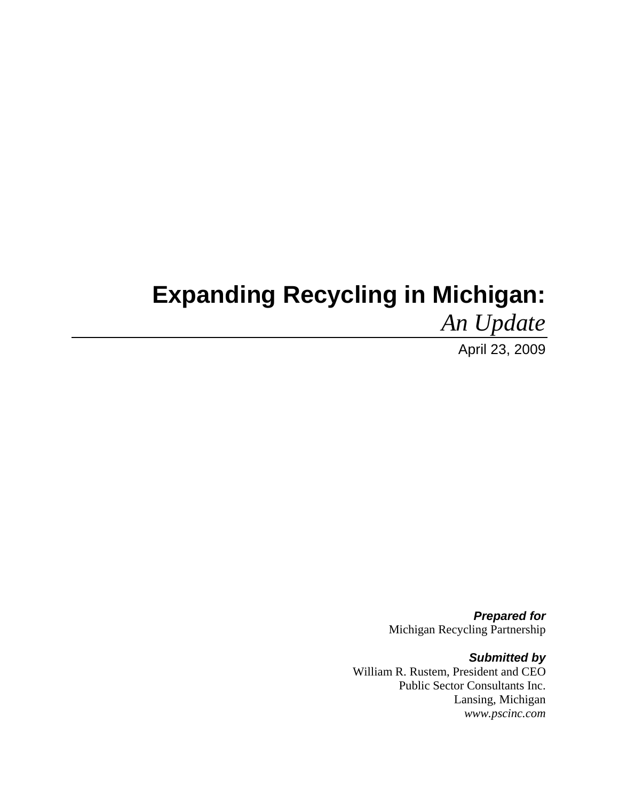# **Expanding Recycling in Michigan:**

*An Update* 

April 23, 2009

*Prepared for*  Michigan Recycling Partnership

*Submitted by*  William R. Rustem, President and CEO Public Sector Consultants Inc. Lansing, Michigan *www.pscinc.com*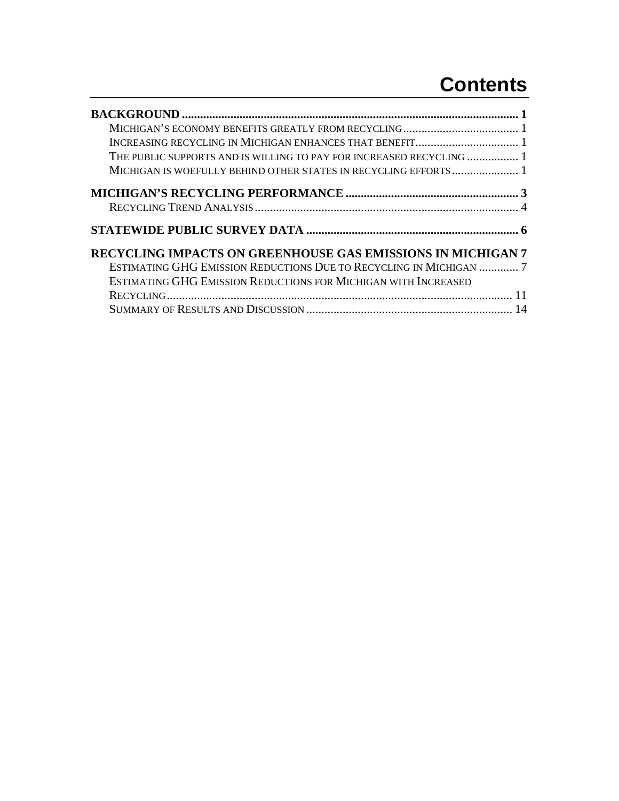## **Contents**

| THE PUBLIC SUPPORTS AND IS WILLING TO PAY FOR INCREASED RECYCLING  1 |
|----------------------------------------------------------------------|
|                                                                      |
|                                                                      |
|                                                                      |
|                                                                      |
| <b>RECYCLING IMPACTS ON GREENHOUSE GAS EMISSIONS IN MICHIGAN 7</b>   |
| ESTIMATING GHG EMISSION REDUCTIONS DUE TO RECYCLING IN MICHIGAN  7   |
| ESTIMATING GHG EMISSION REDUCTIONS FOR MICHIGAN WITH INCREASED       |
|                                                                      |
|                                                                      |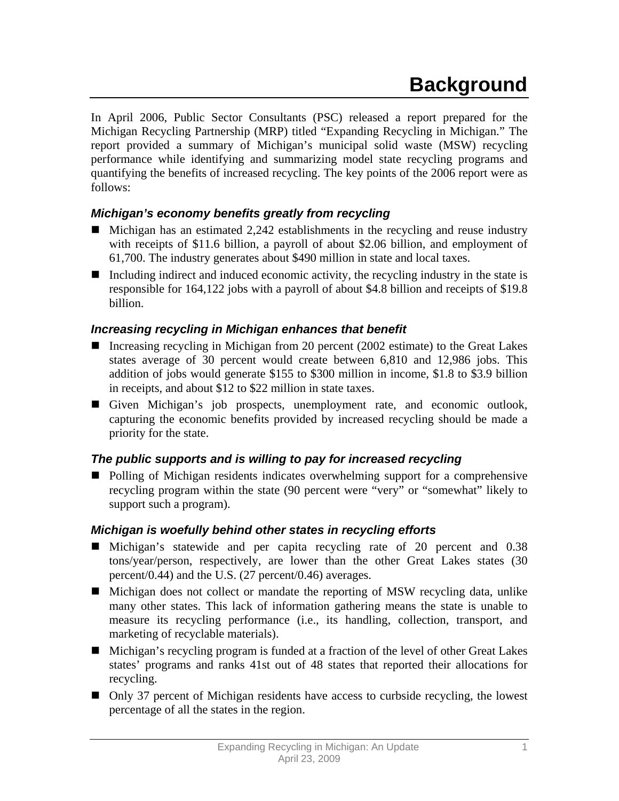In April 2006, Public Sector Consultants (PSC) released a report prepared for the Michigan Recycling Partnership (MRP) titled "Expanding Recycling in Michigan." The report provided a summary of Michigan's municipal solid waste (MSW) recycling performance while identifying and summarizing model state recycling programs and quantifying the benefits of increased recycling. The key points of the 2006 report were as follows:

## *Michigan's economy benefits greatly from recycling*

- $\blacksquare$  Michigan has an estimated 2,242 establishments in the recycling and reuse industry with receipts of \$11.6 billion, a payroll of about \$2.06 billion, and employment of 61,700. The industry generates about \$490 million in state and local taxes.
- Including indirect and induced economic activity, the recycling industry in the state is responsible for 164,122 jobs with a payroll of about \$4.8 billion and receipts of \$19.8 billion.

## *Increasing recycling in Michigan enhances that benefit*

- Increasing recycling in Michigan from 20 percent (2002 estimate) to the Great Lakes states average of 30 percent would create between 6,810 and 12,986 jobs. This addition of jobs would generate \$155 to \$300 million in income, \$1.8 to \$3.9 billion in receipts, and about \$12 to \$22 million in state taxes.
- Given Michigan's job prospects, unemployment rate, and economic outlook, capturing the economic benefits provided by increased recycling should be made a priority for the state.

## *The public supports and is willing to pay for increased recycling*

■ Polling of Michigan residents indicates overwhelming support for a comprehensive recycling program within the state (90 percent were "very" or "somewhat" likely to support such a program).

## *Michigan is woefully behind other states in recycling efforts*

- Michigan's statewide and per capita recycling rate of 20 percent and 0.38 tons/year/person, respectively, are lower than the other Great Lakes states (30 percent/0.44) and the U.S. (27 percent/0.46) averages.
- Michigan does not collect or mandate the reporting of MSW recycling data, unlike many other states. This lack of information gathering means the state is unable to measure its recycling performance (i.e., its handling, collection, transport, and marketing of recyclable materials).
- Michigan's recycling program is funded at a fraction of the level of other Great Lakes states' programs and ranks 41st out of 48 states that reported their allocations for recycling.
- Only 37 percent of Michigan residents have access to curbside recycling, the lowest percentage of all the states in the region.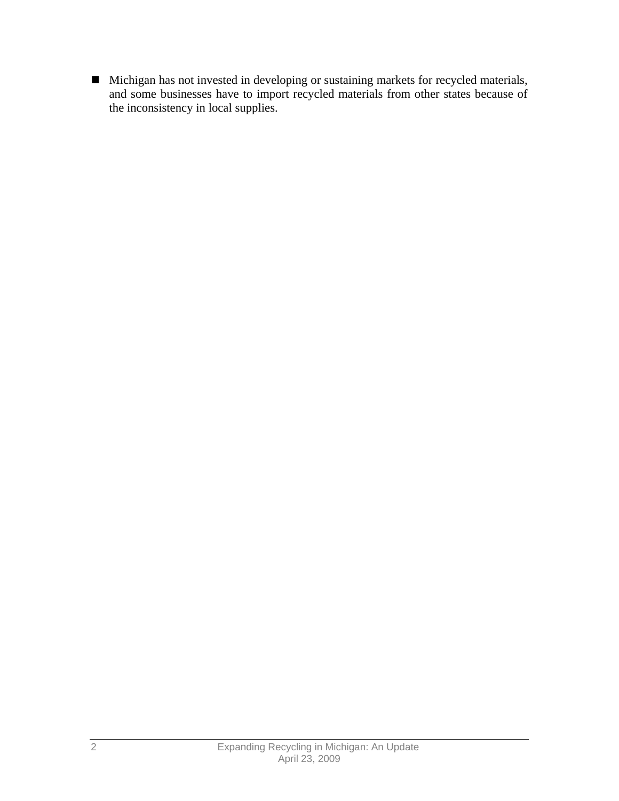Michigan has not invested in developing or sustaining markets for recycled materials, and some businesses have to import recycled materials from other states because of the inconsistency in local supplies.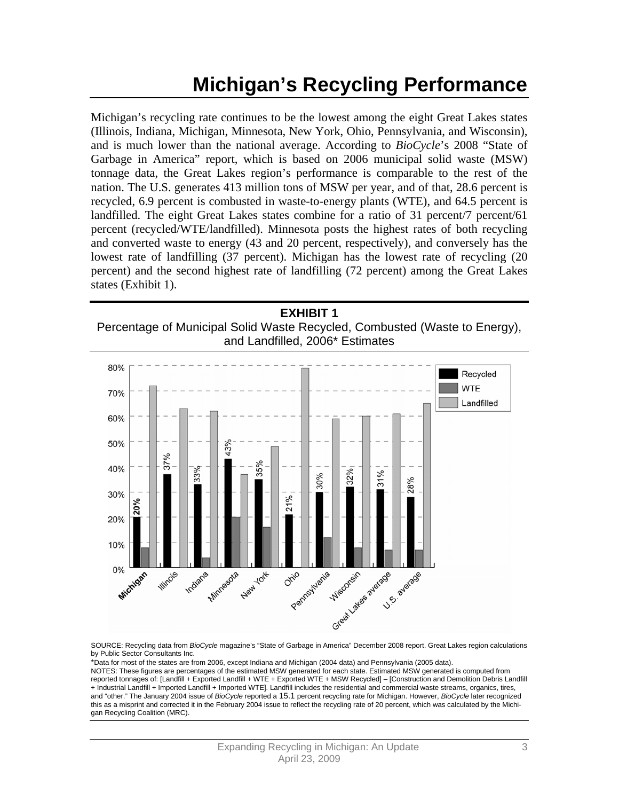## **Michigan's Recycling Performance**

Michigan's recycling rate continues to be the lowest among the eight Great Lakes states (Illinois, Indiana, Michigan, Minnesota, New York, Ohio, Pennsylvania, and Wisconsin), and is much lower than the national average. According to *BioCycle*'s 2008 "State of Garbage in America" report, which is based on 2006 municipal solid waste (MSW) tonnage data, the Great Lakes region's performance is comparable to the rest of the nation. The U.S. generates 413 million tons of MSW per year, and of that, 28.6 percent is recycled, 6.9 percent is combusted in waste-to-energy plants (WTE), and 64.5 percent is landfilled. The eight Great Lakes states combine for a ratio of 31 percent/7 percent/61 percent (recycled/WTE/landfilled). Minnesota posts the highest rates of both recycling and converted waste to energy (43 and 20 percent, respectively), and conversely has the lowest rate of landfilling (37 percent). Michigan has the lowest rate of recycling (20 percent) and the second highest rate of landfilling (72 percent) among the Great Lakes states (Exhibit 1).

**EXHIBIT 1**  Percentage of Municipal Solid Waste Recycled, Combusted (Waste to Energy), and Landfilled, 2006\* Estimates



SOURCE: Recycling data from *BioCycle* magazine's "State of Garbage in America" December 2008 report. Great Lakes region calculations by Public Sector Consultants Inc.

\*Data for most of the states are from 2006, except Indiana and Michigan (2004 data) and Pennsylvania (2005 data). NOTES: These figures are percentages of the estimated MSW generated for each state. Estimated MSW generated is computed from reported tonnages of: [Landfill + Exported Landfill + WTE + Exported WTE + MSW Recycled] – [Construction and Demolition Debris Landfill + Industrial Landfill + Imported Landfill + Imported WTE]. Landfill includes the residential and commercial waste streams, organics, tires, and "other." The January 2004 issue of *BioCycle* reported a 15.1 percent recycling rate for Michigan. However, *BioCycle* later recognized this as a misprint and corrected it in the February 2004 issue to reflect the recycling rate of 20 percent, which was calculated by the Michigan Recycling Coalition (MRC).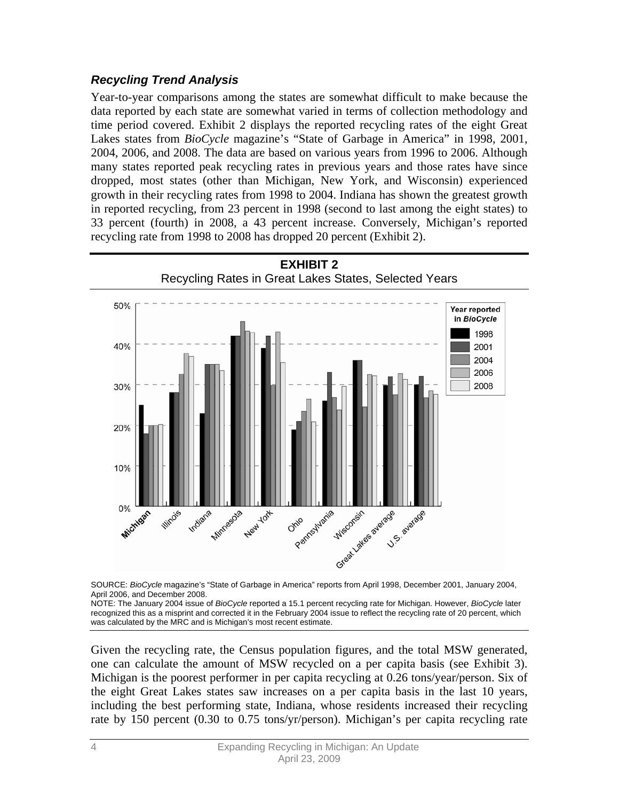## *Recycling Trend Analysis*

Year-to-year comparisons among the states are somewhat difficult to make because the data reported by each state are somewhat varied in terms of collection methodology and time period covered. Exhibit 2 displays the reported recycling rates of the eight Great Lakes states from *BioCycle* magazine's "State of Garbage in America" in 1998, 2001, 2004, 2006, and 2008. The data are based on various years from 1996 to 2006. Although many states reported peak recycling rates in previous years and those rates have since dropped, most states (other than Michigan, New York, and Wisconsin) experienced growth in their recycling rates from 1998 to 2004. Indiana has shown the greatest growth in reported recycling, from 23 percent in 1998 (second to last among the eight states) to 33 percent (fourth) in 2008, a 43 percent increase. Conversely, Michigan's reported recycling rate from 1998 to 2008 has dropped 20 percent (Exhibit 2).



SOURCE: *BioCycle* magazine's "State of Garbage in America" reports from April 1998, December 2001, January 2004, April 2006, and December 2008.

NOTE: The January 2004 issue of *BioCycle* reported a 15.1 percent recycling rate for Michigan. However, *BioCycle* later recognized this as a misprint and corrected it in the February 2004 issue to reflect the recycling rate of 20 percent, which was calculated by the MRC and is Michigan's most recent estimate.

Given the recycling rate, the Census population figures, and the total MSW generated, one can calculate the amount of MSW recycled on a per capita basis (see Exhibit 3). Michigan is the poorest performer in per capita recycling at 0.26 tons/year/person. Six of the eight Great Lakes states saw increases on a per capita basis in the last 10 years, including the best performing state, Indiana, whose residents increased their recycling rate by 150 percent (0.30 to 0.75 tons/yr/person). Michigan's per capita recycling rate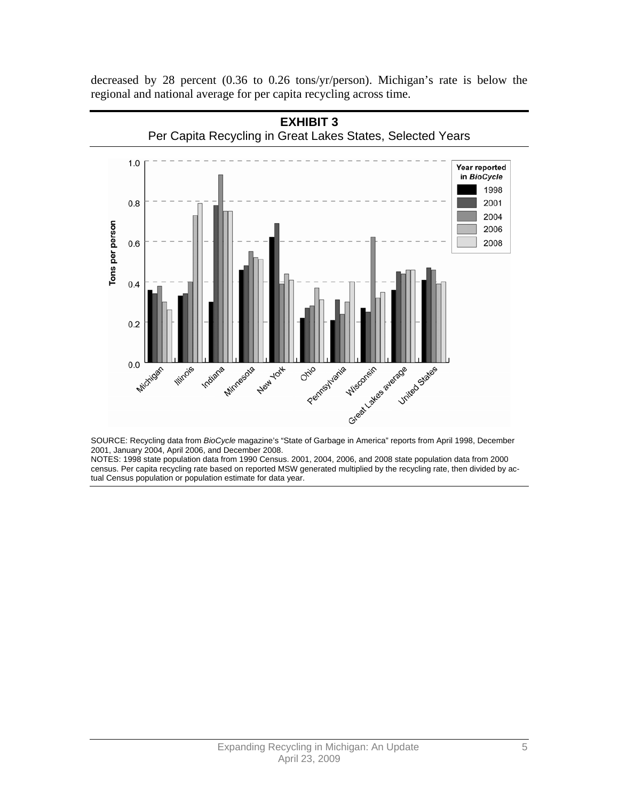decreased by 28 percent (0.36 to 0.26 tons/yr/person). Michigan's rate is below the regional and national average for per capita recycling across time.



SOURCE: Recycling data from *BioCycle* magazine's "State of Garbage in America" reports from April 1998, December 2001, January 2004, April 2006, and December 2008.

NOTES: 1998 state population data from 1990 Census. 2001, 2004, 2006, and 2008 state population data from 2000 census. Per capita recycling rate based on reported MSW generated multiplied by the recycling rate, then divided by actual Census population or population estimate for data year.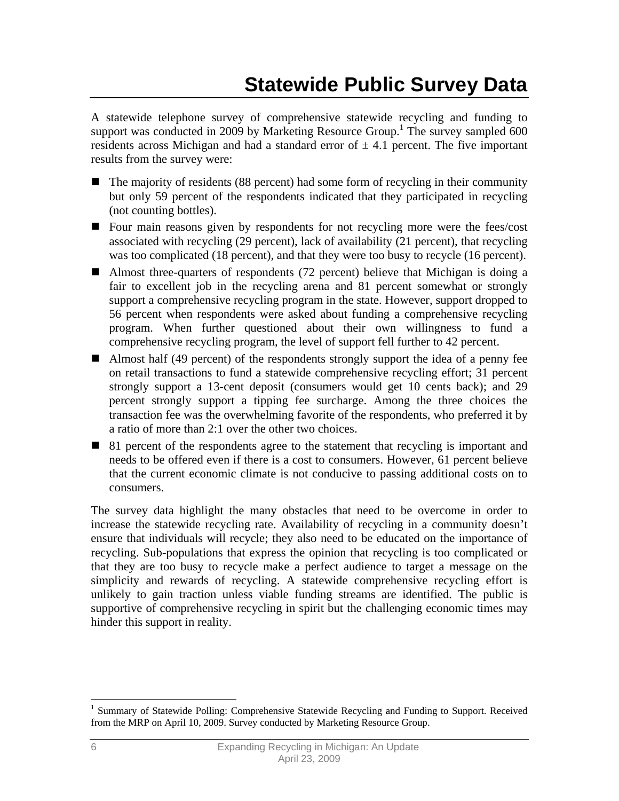## **Statewide Public Survey Data**

A statewide telephone survey of comprehensive statewide recycling and funding to support was conducted in 2009 by Marketing Resource Group.<sup>1</sup> The survey sampled 600 residents across Michigan and had a standard error of  $\pm$  4.1 percent. The five important results from the survey were:

- The majority of residents (88 percent) had some form of recycling in their community but only 59 percent of the respondents indicated that they participated in recycling (not counting bottles).
- Four main reasons given by respondents for not recycling more were the fees/cost associated with recycling (29 percent), lack of availability (21 percent), that recycling was too complicated (18 percent), and that they were too busy to recycle (16 percent).
- Almost three-quarters of respondents (72 percent) believe that Michigan is doing a fair to excellent job in the recycling arena and 81 percent somewhat or strongly support a comprehensive recycling program in the state. However, support dropped to 56 percent when respondents were asked about funding a comprehensive recycling program. When further questioned about their own willingness to fund a comprehensive recycling program, the level of support fell further to 42 percent.
- Almost half (49 percent) of the respondents strongly support the idea of a penny fee on retail transactions to fund a statewide comprehensive recycling effort; 31 percent strongly support a 13-cent deposit (consumers would get 10 cents back); and 29 percent strongly support a tipping fee surcharge. Among the three choices the transaction fee was the overwhelming favorite of the respondents, who preferred it by a ratio of more than 2:1 over the other two choices.
- 81 percent of the respondents agree to the statement that recycling is important and needs to be offered even if there is a cost to consumers. However, 61 percent believe that the current economic climate is not conducive to passing additional costs on to consumers.

The survey data highlight the many obstacles that need to be overcome in order to increase the statewide recycling rate. Availability of recycling in a community doesn't ensure that individuals will recycle; they also need to be educated on the importance of recycling. Sub-populations that express the opinion that recycling is too complicated or that they are too busy to recycle make a perfect audience to target a message on the simplicity and rewards of recycling. A statewide comprehensive recycling effort is unlikely to gain traction unless viable funding streams are identified. The public is supportive of comprehensive recycling in spirit but the challenging economic times may hinder this support in reality.

 $\overline{a}$ 

<sup>&</sup>lt;sup>1</sup> Summary of Statewide Polling: Comprehensive Statewide Recycling and Funding to Support. Received from the MRP on April 10, 2009. Survey conducted by Marketing Resource Group.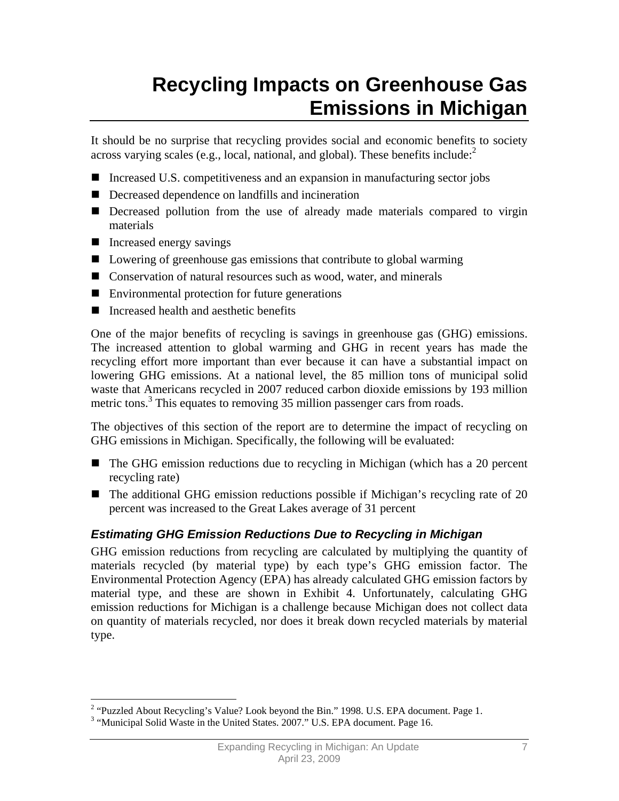## **Recycling Impacts on Greenhouse Gas Emissions in Michigan**

It should be no surprise that recycling provides social and economic benefits to society across varying scales (e.g., local, national, and global). These benefits include: $2$ 

- Increased U.S. competitiveness and an expansion in manufacturing sector jobs
- Decreased dependence on landfills and incineration
- Decreased pollution from the use of already made materials compared to virgin materials
- Increased energy savings
- Lowering of greenhouse gas emissions that contribute to global warming
- Conservation of natural resources such as wood, water, and minerals
- Environmental protection for future generations
- Increased health and aesthetic benefits

One of the major benefits of recycling is savings in greenhouse gas (GHG) emissions. The increased attention to global warming and GHG in recent years has made the recycling effort more important than ever because it can have a substantial impact on lowering GHG emissions. At a national level, the 85 million tons of municipal solid waste that Americans recycled in 2007 reduced carbon dioxide emissions by 193 million metric tons.<sup>3</sup> This equates to removing 35 million passenger cars from roads.

The objectives of this section of the report are to determine the impact of recycling on GHG emissions in Michigan. Specifically, the following will be evaluated:

- The GHG emission reductions due to recycling in Michigan (which has a 20 percent recycling rate)
- The additional GHG emission reductions possible if Michigan's recycling rate of 20 percent was increased to the Great Lakes average of 31 percent

## *Estimating GHG Emission Reductions Due to Recycling in Michigan*

GHG emission reductions from recycling are calculated by multiplying the quantity of materials recycled (by material type) by each type's GHG emission factor. The Environmental Protection Agency (EPA) has already calculated GHG emission factors by material type, and these are shown in Exhibit 4. Unfortunately, calculating GHG emission reductions for Michigan is a challenge because Michigan does not collect data on quantity of materials recycled, nor does it break down recycled materials by material type.

 $\overline{a}$ <sup>2</sup> "Puzzled About Recycling's Value? Look beyond the Bin." 1998. U.S. EPA document. Page 1.

<sup>&</sup>lt;sup>3</sup> "Municipal Solid Waste in the United States. 2007." U.S. EPA document. Page 16.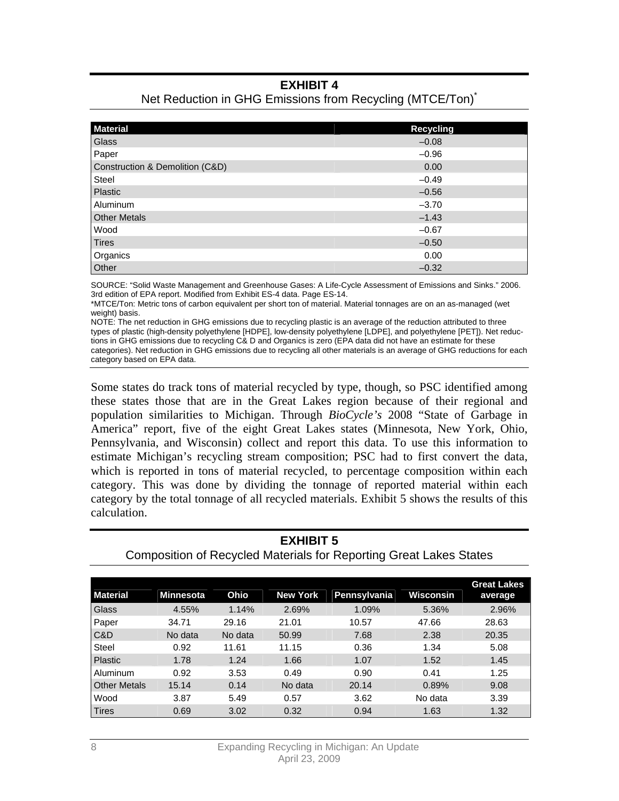## **EXHIBIT 4**

| <b>Material</b>                 | <b>Recycling</b> |
|---------------------------------|------------------|
|                                 |                  |
| Glass                           | $-0.08$          |
| Paper                           | $-0.96$          |
| Construction & Demolition (C&D) | 0.00             |
| Steel                           | $-0.49$          |
| Plastic                         | $-0.56$          |
| Aluminum                        | $-3.70$          |
| <b>Other Metals</b>             | $-1.43$          |
| Wood                            | $-0.67$          |
| <b>Tires</b>                    | $-0.50$          |
| Organics                        | 0.00             |
| Other                           | $-0.32$          |

## Net Reduction in GHG Emissions from Recycling (MTCE/Ton)<sup>\*</sup>

SOURCE: "Solid Waste Management and Greenhouse Gases: A Life-Cycle Assessment of Emissions and Sinks." 2006. 3rd edition of EPA report. Modified from Exhibit ES-4 data. Page ES-14.

\*MTCE/Ton: Metric tons of carbon equivalent per short ton of material. Material tonnages are on an as-managed (wet weight) basis.

NOTE: The net reduction in GHG emissions due to recycling plastic is an average of the reduction attributed to three types of plastic (high-density polyethylene [HDPE], low-density polyethylene [LDPE], and polyethylene [PET]). Net reductions in GHG emissions due to recycling C& D and Organics is zero (EPA data did not have an estimate for these categories). Net reduction in GHG emissions due to recycling all other materials is an average of GHG reductions for each category based on EPA data.

Some states do track tons of material recycled by type, though, so PSC identified among these states those that are in the Great Lakes region because of their regional and population similarities to Michigan. Through *BioCycle's* 2008 "State of Garbage in America" report, five of the eight Great Lakes states (Minnesota, New York, Ohio, Pennsylvania, and Wisconsin) collect and report this data. To use this information to estimate Michigan's recycling stream composition; PSC had to first convert the data, which is reported in tons of material recycled, to percentage composition within each category. This was done by dividing the tonnage of reported material within each category by the total tonnage of all recycled materials. Exhibit 5 shows the results of this calculation.

**EXHIBIT 5** 

| <b>Composition of Recycled Materials for Reporting Great Lakes States</b> |                  |         |                 |              |           |                               |
|---------------------------------------------------------------------------|------------------|---------|-----------------|--------------|-----------|-------------------------------|
|                                                                           |                  |         |                 |              |           |                               |
| <b>Material</b>                                                           | <b>Minnesota</b> | Ohio    | <b>New York</b> | Pennsylvania | Wisconsin | <b>Great Lakes</b><br>average |
| Glass                                                                     | 4.55%            | 1.14%   | 2.69%           | 1.09%        | 5.36%     | 2.96%                         |
| Paper                                                                     | 34.71            | 29.16   | 21.01           | 10.57        | 47.66     | 28.63                         |
| C&D                                                                       | No data          | No data | 50.99           | 7.68         | 2.38      | 20.35                         |
| Steel                                                                     | 0.92             | 11.61   | 11.15           | 0.36         | 1.34      | 5.08                          |
| Plastic                                                                   | 1.78             | 1.24    | 1.66            | 1.07         | 1.52      | 1.45                          |
| Aluminum                                                                  | 0.92             | 3.53    | 0.49            | 0.90         | 0.41      | 1.25                          |
| <b>Other Metals</b>                                                       | 15.14            | 0.14    | No data         | 20.14        | 0.89%     | 9.08                          |
| Wood                                                                      | 3.87             | 5.49    | 0.57            | 3.62         | No data   | 3.39                          |
| Tires                                                                     | 0.69             | 3.02    | 0.32            | 0.94         | 1.63      | 1.32                          |

## 8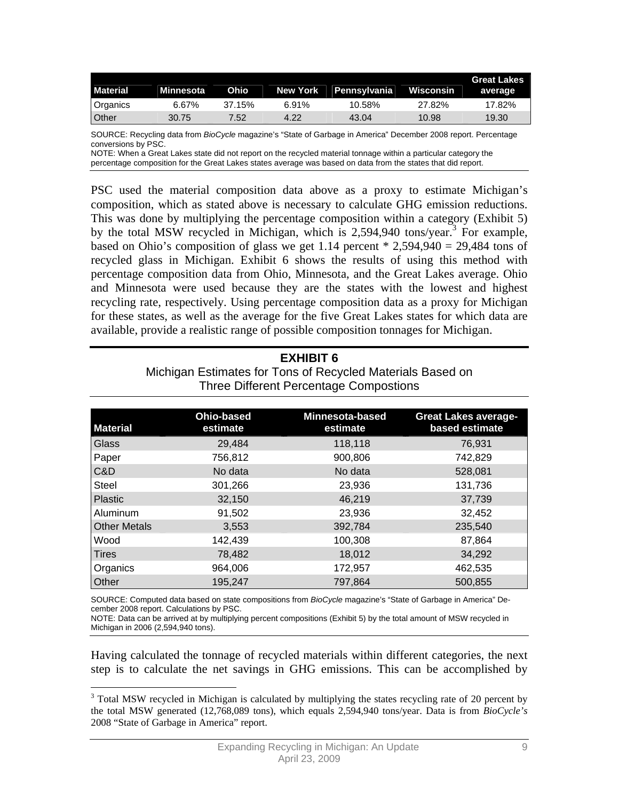| <b>Material</b> | Minnesota | Ohio   |       | New York Pennsylvania | Wisconsin | <b>Great Lakes</b><br>average |
|-----------------|-----------|--------|-------|-----------------------|-----------|-------------------------------|
| Organics        | 6.67%     | 37.15% | 6.91% | 10.58%                | 27.82%    | 17.82%                        |
| Other           | 30.75     | 7.52   | 4.22  | 43.04                 | 10.98     | 19.30                         |

SOURCE: Recycling data from *BioCycle* magazine's "State of Garbage in America" December 2008 report. Percentage conversions by PSC.

NOTE: When a Great Lakes state did not report on the recycled material tonnage within a particular category the percentage composition for the Great Lakes states average was based on data from the states that did report.

PSC used the material composition data above as a proxy to estimate Michigan's composition, which as stated above is necessary to calculate GHG emission reductions. This was done by multiplying the percentage composition within a category (Exhibit 5) by the total MSW recycled in Michigan, which is 2,594,940 tons/year.<sup>3</sup> For example, based on Ohio's composition of glass we get 1.14 percent  $*$  2,594,940 = 29,484 tons of recycled glass in Michigan. Exhibit 6 shows the results of using this method with percentage composition data from Ohio, Minnesota, and the Great Lakes average. Ohio and Minnesota were used because they are the states with the lowest and highest recycling rate, respectively. Using percentage composition data as a proxy for Michigan for these states, as well as the average for the five Great Lakes states for which data are available, provide a realistic range of possible composition tonnages for Michigan.

#### **EXHIBIT 6**

Michigan Estimates for Tons of Recycled Materials Based on Three Different Percentage Compostions

| <b>Material</b>     | <b>Ohio-based</b><br>estimate | <b>Minnesota-based</b><br>estimate | <b>Great Lakes average-</b><br>based estimate |
|---------------------|-------------------------------|------------------------------------|-----------------------------------------------|
| Glass               | 29,484                        | 118,118                            | 76,931                                        |
| Paper               | 756,812                       | 900,806                            | 742,829                                       |
| C&D                 | No data                       | No data                            | 528,081                                       |
| <b>Steel</b>        | 301,266                       | 23,936                             | 131,736                                       |
| Plastic             | 32,150                        | 46,219                             | 37,739                                        |
| Aluminum            | 91,502                        | 23,936                             | 32,452                                        |
| <b>Other Metals</b> | 3,553                         | 392,784                            | 235,540                                       |
| Wood                | 142,439                       | 100,308                            | 87.864                                        |
| Tires               | 78,482                        | 18,012                             | 34,292                                        |
| Organics            | 964,006                       | 172,957                            | 462,535                                       |
| <b>Other</b>        | 195,247                       | 797.864                            | 500,855                                       |

SOURCE: Computed data based on state compositions from *BioCycle* magazine's "State of Garbage in America" December 2008 report. Calculations by PSC.

NOTE: Data can be arrived at by multiplying percent compositions (Exhibit 5) by the total amount of MSW recycled in Michigan in 2006 (2,594,940 tons).

Having calculated the tonnage of recycled materials within different categories, the next step is to calculate the net savings in GHG emissions. This can be accomplished by

<sup>1</sup> <sup>3</sup> Total MSW recycled in Michigan is calculated by multiplying the states recycling rate of 20 percent by the total MSW generated (12,768,089 tons), which equals 2,594,940 tons/year. Data is from *BioCycle's* 2008 "State of Garbage in America" report.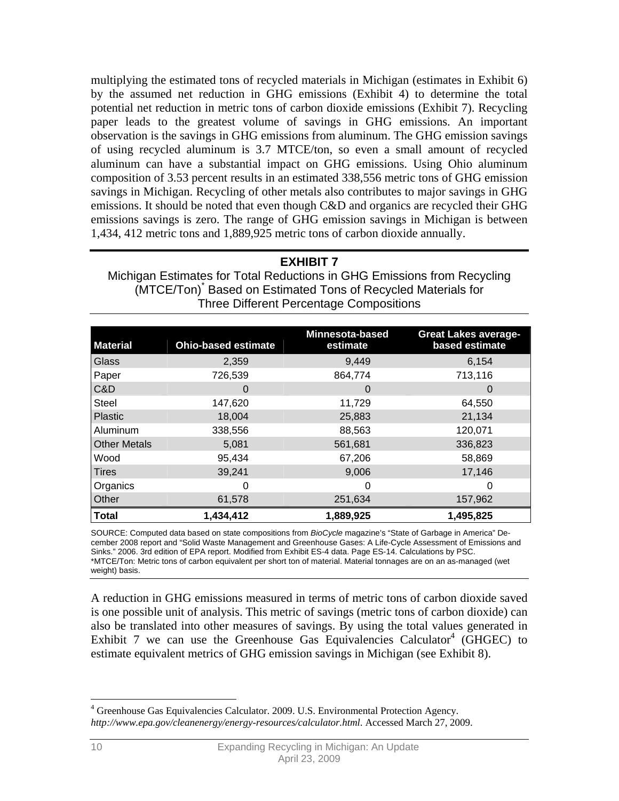multiplying the estimated tons of recycled materials in Michigan (estimates in Exhibit 6) by the assumed net reduction in GHG emissions (Exhibit 4) to determine the total potential net reduction in metric tons of carbon dioxide emissions (Exhibit 7). Recycling paper leads to the greatest volume of savings in GHG emissions. An important observation is the savings in GHG emissions from aluminum. The GHG emission savings of using recycled aluminum is 3.7 MTCE/ton, so even a small amount of recycled aluminum can have a substantial impact on GHG emissions. Using Ohio aluminum composition of 3.53 percent results in an estimated 338,556 metric tons of GHG emission savings in Michigan. Recycling of other metals also contributes to major savings in GHG emissions. It should be noted that even though C&D and organics are recycled their GHG emissions savings is zero. The range of GHG emission savings in Michigan is between 1,434, 412 metric tons and 1,889,925 metric tons of carbon dioxide annually.

### **EXHIBIT 7**

Michigan Estimates for Total Reductions in GHG Emissions from Recycling (MTCE/Ton)\* Based on Estimated Tons of Recycled Materials for Three Different Percentage Compositions

| <b>Material</b>     | <b>Ohio-based estimate</b> | Minnesota-based<br>estimate | <b>Great Lakes average-</b><br>based estimate |
|---------------------|----------------------------|-----------------------------|-----------------------------------------------|
| Glass               | 2,359                      | 9,449                       | 6,154                                         |
| Paper               | 726,539                    | 864,774                     | 713,116                                       |
| C&D                 | 0                          | $\mathbf{O}$                | 0                                             |
| <b>Steel</b>        | 147,620                    | 11,729                      | 64,550                                        |
| Plastic             | 18,004                     | 25,883                      | 21,134                                        |
| Aluminum            | 338,556                    | 88,563                      | 120,071                                       |
| <b>Other Metals</b> | 5,081                      | 561,681                     | 336,823                                       |
| Wood                | 95,434                     | 67,206                      | 58,869                                        |
| <b>Tires</b>        | 39,241                     | 9,006                       | 17,146                                        |
| Organics            | 0                          | 0                           | 0                                             |
| Other               | 61,578                     | 251,634                     | 157,962                                       |
| <b>Total</b>        | 1,434,412                  | 1,889,925                   | 1,495,825                                     |

SOURCE: Computed data based on state compositions from *BioCycle* magazine's "State of Garbage in America" December 2008 report and "Solid Waste Management and Greenhouse Gases: A Life-Cycle Assessment of Emissions and Sinks." 2006. 3rd edition of EPA report. Modified from Exhibit ES-4 data. Page ES-14. Calculations by PSC. \*MTCE/Ton: Metric tons of carbon equivalent per short ton of material. Material tonnages are on an as-managed (wet weight) basis.

A reduction in GHG emissions measured in terms of metric tons of carbon dioxide saved is one possible unit of analysis. This metric of savings (metric tons of carbon dioxide) can also be translated into other measures of savings. By using the total values generated in Exhibit 7 we can use the Greenhouse Gas Equivalencies Calculator<sup>4</sup> (GHGEC) to estimate equivalent metrics of GHG emission savings in Michigan (see Exhibit 8).

 $\overline{a}$ 

<sup>&</sup>lt;sup>4</sup> Greenhouse Gas Equivalencies Calculator. 2009. U.S. Environmental Protection Agency. *http://www.epa.gov/cleanenergy/energy-resources/calculator.html*. Accessed March 27, 2009.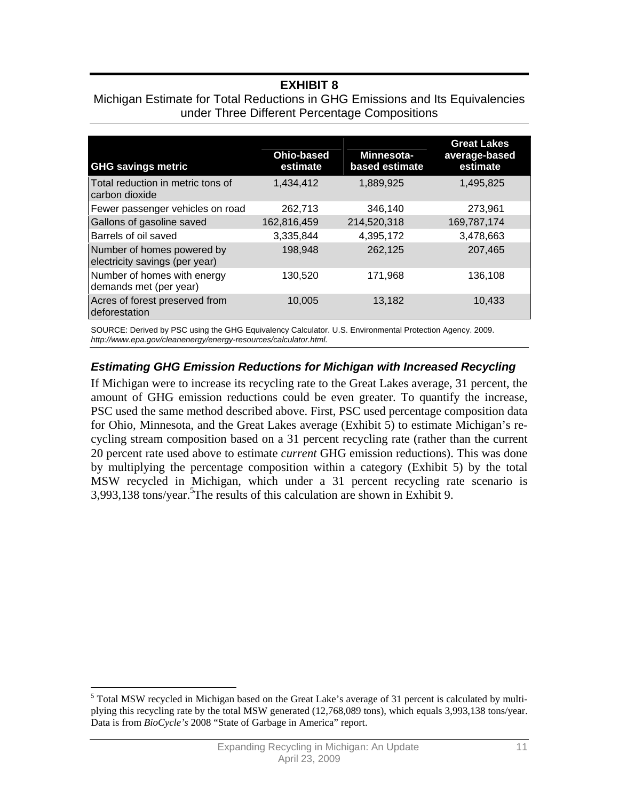## **EXHIBIT 8**

#### Michigan Estimate for Total Reductions in GHG Emissions and Its Equivalencies under Three Different Percentage Compositions

| <b>GHG savings metric</b>                                    | <b>Ohio-based</b><br>estimate | Minnesota-<br>based estimate | <b>Great Lakes</b><br>average-based<br>estimate |
|--------------------------------------------------------------|-------------------------------|------------------------------|-------------------------------------------------|
| Total reduction in metric tons of<br>carbon dioxide          | 1,434,412                     | 1,889,925                    | 1,495,825                                       |
| Fewer passenger vehicles on road                             | 262,713                       | 346,140                      | 273,961                                         |
| Gallons of gasoline saved                                    | 162,816,459                   | 214,520,318                  | 169,787,174                                     |
| Barrels of oil saved                                         | 3,335,844                     | 4,395,172                    | 3,478,663                                       |
| Number of homes powered by<br>electricity savings (per year) | 198,948                       | 262,125                      | 207,465                                         |
| Number of homes with energy<br>demands met (per year)        | 130,520                       | 171.968                      | 136,108                                         |
| Acres of forest preserved from<br>deforestation              | 10,005                        | 13,182                       | 10,433                                          |

SOURCE: Derived by PSC using the GHG Equivalency Calculator. U.S. Environmental Protection Agency. 2009. *http://www.epa.gov/cleanenergy/energy-resources/calculator.html.*

#### *Estimating GHG Emission Reductions for Michigan with Increased Recycling*

If Michigan were to increase its recycling rate to the Great Lakes average, 31 percent, the amount of GHG emission reductions could be even greater. To quantify the increase, PSC used the same method described above. First, PSC used percentage composition data for Ohio, Minnesota, and the Great Lakes average (Exhibit 5) to estimate Michigan's recycling stream composition based on a 31 percent recycling rate (rather than the current 20 percent rate used above to estimate *current* GHG emission reductions). This was done by multiplying the percentage composition within a category (Exhibit 5) by the total MSW recycled in Michigan, which under a 31 percent recycling rate scenario is 3,993,138 tons/year.<sup>5</sup>The results of this calculation are shown in Exhibit 9.

 $\overline{a}$ 

<sup>&</sup>lt;sup>5</sup> Total MSW recycled in Michigan based on the Great Lake's average of 31 percent is calculated by multiplying this recycling rate by the total MSW generated (12,768,089 tons), which equals 3,993,138 tons/year. Data is from *BioCycle's* 2008 "State of Garbage in America" report.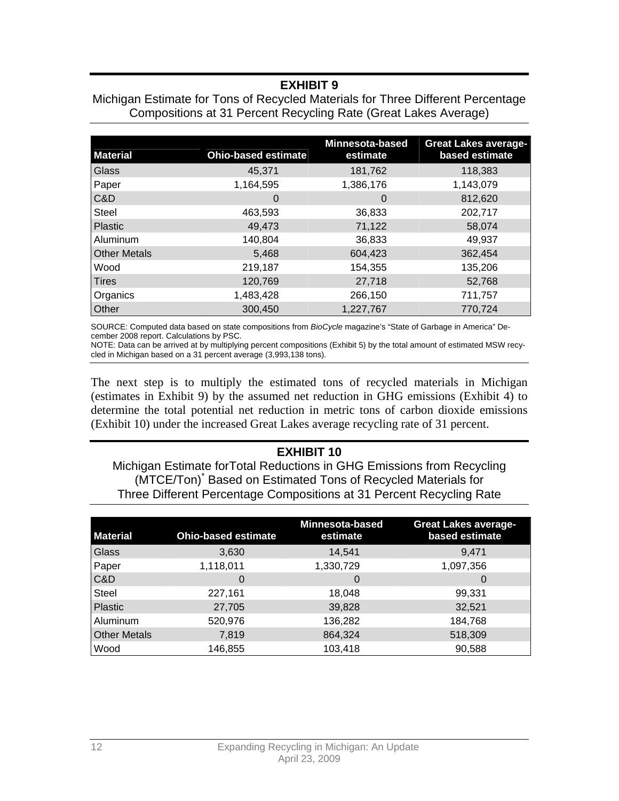## **EXHIBIT 9**

#### Michigan Estimate for Tons of Recycled Materials for Three Different Percentage Compositions at 31 Percent Recycling Rate (Great Lakes Average)

| <b>Material</b>     | <b>Ohio-based estimate</b> | <b>Minnesota-based</b><br>estimate | <b>Great Lakes average-</b><br>based estimate |
|---------------------|----------------------------|------------------------------------|-----------------------------------------------|
| Glass               | 45,371                     | 181,762                            | 118,383                                       |
| Paper               | 1,164,595                  | 1,386,176                          | 1,143,079                                     |
| C&D                 | 0                          | 0                                  | 812,620                                       |
| <b>Steel</b>        | 463,593                    | 36,833                             | 202,717                                       |
| Plastic             | 49,473                     | 71,122                             | 58,074                                        |
| Aluminum            | 140,804                    | 36,833                             | 49,937                                        |
| <b>Other Metals</b> | 5,468                      | 604,423                            | 362,454                                       |
| Wood                | 219,187                    | 154,355                            | 135,206                                       |
| <b>Tires</b>        | 120,769                    | 27,718                             | 52,768                                        |
| Organics            | 1,483,428                  | 266,150                            | 711,757                                       |
| Other               | 300,450                    | 1,227,767                          | 770,724                                       |

SOURCE: Computed data based on state compositions from *BioCycle* magazine's "State of Garbage in America" December 2008 report. Calculations by PSC.

NOTE: Data can be arrived at by multiplying percent compositions (Exhibit 5) by the total amount of estimated MSW recycled in Michigan based on a 31 percent average (3,993,138 tons).

The next step is to multiply the estimated tons of recycled materials in Michigan (estimates in Exhibit 9) by the assumed net reduction in GHG emissions (Exhibit 4) to determine the total potential net reduction in metric tons of carbon dioxide emissions (Exhibit 10) under the increased Great Lakes average recycling rate of 31 percent.

#### **EXHIBIT 10**

Michigan Estimate forTotal Reductions in GHG Emissions from Recycling (MTCE/Ton)\* Based on Estimated Tons of Recycled Materials for Three Different Percentage Compositions at 31 Percent Recycling Rate

| <b>Material</b>     | <b>Ohio-based estimate</b> | <b>Minnesota-based</b><br>estimate | <b>Great Lakes average-</b><br>based estimate |
|---------------------|----------------------------|------------------------------------|-----------------------------------------------|
| <b>Glass</b>        | 3,630                      | 14,541                             | 9,471                                         |
| Paper               | 1,118,011                  | 1,330,729                          | 1,097,356                                     |
| C&D                 | $\Omega$                   | 0                                  | 0                                             |
| <b>Steel</b>        | 227,161                    | 18,048                             | 99,331                                        |
| Plastic             | 27,705                     | 39,828                             | 32,521                                        |
| Aluminum            | 520,976                    | 136,282                            | 184,768                                       |
| <b>Other Metals</b> | 7,819                      | 864,324                            | 518,309                                       |
| Wood                | 146,855                    | 103,418                            | 90,588                                        |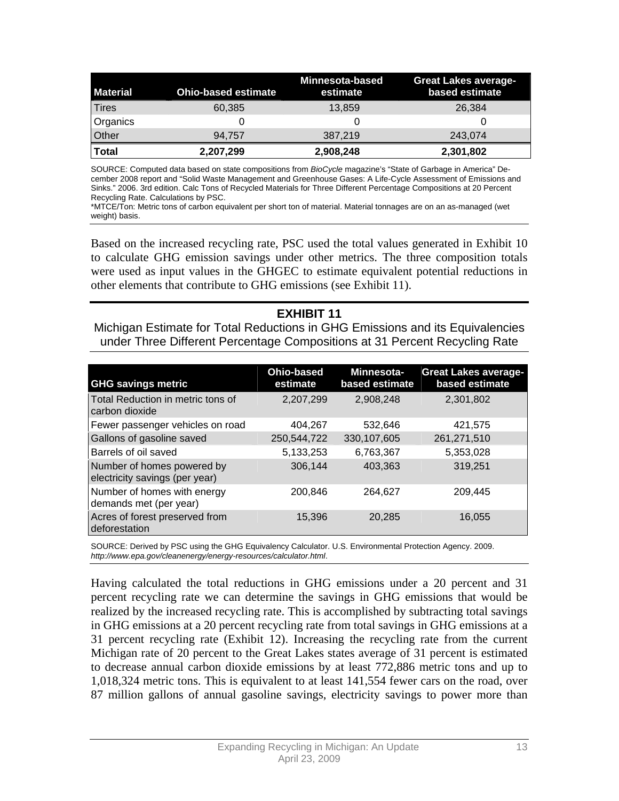| <b>Material</b> | <b>Ohio-based estimate</b> | <b>Minnesota-based</b><br>estimate | <b>Great Lakes average-</b><br>based estimate |
|-----------------|----------------------------|------------------------------------|-----------------------------------------------|
| <b>Tires</b>    | 60,385                     | 13,859                             | 26,384                                        |
| Organics        |                            |                                    |                                               |
| Other           | 94.757                     | 387,219                            | 243,074                                       |
| Total           | 2,207,299                  | 2,908,248                          | 2,301,802                                     |

SOURCE: Computed data based on state compositions from *BioCycle* magazine's "State of Garbage in America" December 2008 report and "Solid Waste Management and Greenhouse Gases: A Life-Cycle Assessment of Emissions and Sinks." 2006. 3rd edition. Calc Tons of Recycled Materials for Three Different Percentage Compositions at 20 Percent Recycling Rate. Calculations by PSC.

\*MTCE/Ton: Metric tons of carbon equivalent per short ton of material. Material tonnages are on an as-managed (wet weight) basis.

Based on the increased recycling rate, PSC used the total values generated in Exhibit 10 to calculate GHG emission savings under other metrics. The three composition totals were used as input values in the GHGEC to estimate equivalent potential reductions in other elements that contribute to GHG emissions (see Exhibit 11).

### **EXHIBIT 11**

Michigan Estimate for Total Reductions in GHG Emissions and its Equivalencies under Three Different Percentage Compositions at 31 Percent Recycling Rate

| <b>GHG savings metric</b>                                    | <b>Ohio-based</b><br>estimate | Minnesota-<br>based estimate | <b>Great Lakes average-</b><br>based estimate |
|--------------------------------------------------------------|-------------------------------|------------------------------|-----------------------------------------------|
| Total Reduction in metric tons of<br>carbon dioxide          | 2,207,299                     | 2,908,248                    | 2,301,802                                     |
| Fewer passenger vehicles on road                             | 404,267                       | 532,646                      | 421,575                                       |
| Gallons of gasoline saved                                    | 250,544,722                   | 330.107.605                  | 261,271,510                                   |
| Barrels of oil saved                                         | 5,133,253                     | 6,763,367                    | 5,353,028                                     |
| Number of homes powered by<br>electricity savings (per year) | 306,144                       | 403,363                      | 319,251                                       |
| Number of homes with energy<br>demands met (per year)        | 200,846                       | 264.627                      | 209.445                                       |
| Acres of forest preserved from<br>deforestation              | 15,396                        | 20,285                       | 16,055                                        |

SOURCE: Derived by PSC using the GHG Equivalency Calculator. U.S. Environmental Protection Agency. 2009. *http://www.epa.gov/cleanenergy/energy-resources/calculator.html*.

Having calculated the total reductions in GHG emissions under a 20 percent and 31 percent recycling rate we can determine the savings in GHG emissions that would be realized by the increased recycling rate. This is accomplished by subtracting total savings in GHG emissions at a 20 percent recycling rate from total savings in GHG emissions at a 31 percent recycling rate (Exhibit 12). Increasing the recycling rate from the current Michigan rate of 20 percent to the Great Lakes states average of 31 percent is estimated to decrease annual carbon dioxide emissions by at least 772,886 metric tons and up to 1,018,324 metric tons. This is equivalent to at least 141,554 fewer cars on the road, over 87 million gallons of annual gasoline savings, electricity savings to power more than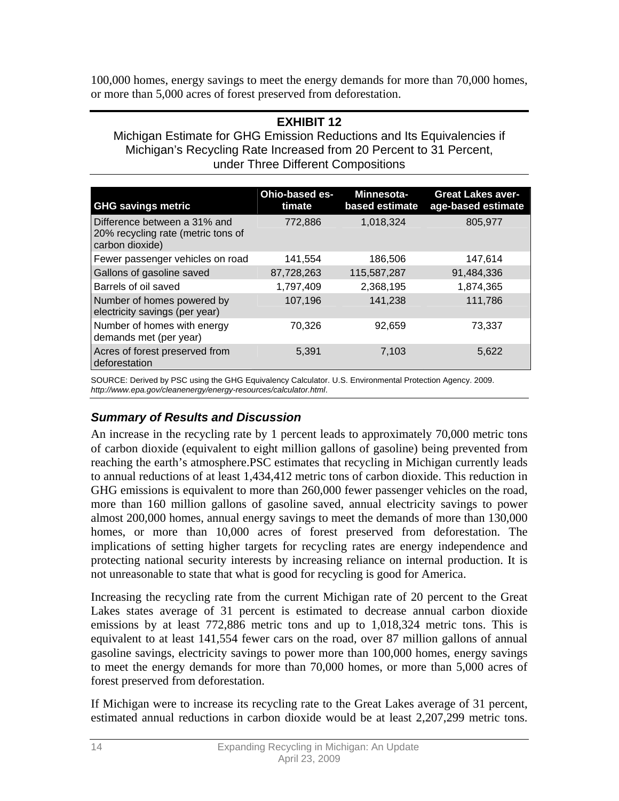100,000 homes, energy savings to meet the energy demands for more than 70,000 homes, or more than 5,000 acres of forest preserved from deforestation.

#### **EXHIBIT 12**

Michigan Estimate for GHG Emission Reductions and Its Equivalencies if Michigan's Recycling Rate Increased from 20 Percent to 31 Percent, under Three Different Compositions

| <b>GHG</b> savings metric                                                             | Ohio-based es-<br>timate | Minnesota-<br>based estimate | <b>Great Lakes aver-</b><br>age-based estimate |
|---------------------------------------------------------------------------------------|--------------------------|------------------------------|------------------------------------------------|
| Difference between a 31% and<br>20% recycling rate (metric tons of<br>carbon dioxide) | 772,886                  | 1,018,324                    | 805,977                                        |
| Fewer passenger vehicles on road                                                      | 141,554                  | 186,506                      | 147,614                                        |
| Gallons of gasoline saved                                                             | 87,728,263               | 115,587,287                  | 91,484,336                                     |
| Barrels of oil saved                                                                  | 1,797,409                | 2,368,195                    | 1,874,365                                      |
| Number of homes powered by<br>electricity savings (per year)                          | 107,196                  | 141,238                      | 111,786                                        |
| Number of homes with energy<br>demands met (per year)                                 | 70,326                   | 92.659                       | 73,337                                         |
| Acres of forest preserved from<br>deforestation                                       | 5,391                    | 7,103                        | 5,622                                          |

SOURCE: Derived by PSC using the GHG Equivalency Calculator. U.S. Environmental Protection Agency. 2009. *http://www.epa.gov/cleanenergy/energy-resources/calculator.html*.

#### *Summary of Results and Discussion*

An increase in the recycling rate by 1 percent leads to approximately 70,000 metric tons of carbon dioxide (equivalent to eight million gallons of gasoline) being prevented from reaching the earth's atmosphere.PSC estimates that recycling in Michigan currently leads to annual reductions of at least 1,434,412 metric tons of carbon dioxide. This reduction in GHG emissions is equivalent to more than 260,000 fewer passenger vehicles on the road, more than 160 million gallons of gasoline saved, annual electricity savings to power almost 200,000 homes, annual energy savings to meet the demands of more than 130,000 homes, or more than 10,000 acres of forest preserved from deforestation. The implications of setting higher targets for recycling rates are energy independence and protecting national security interests by increasing reliance on internal production. It is not unreasonable to state that what is good for recycling is good for America.

Increasing the recycling rate from the current Michigan rate of 20 percent to the Great Lakes states average of 31 percent is estimated to decrease annual carbon dioxide emissions by at least 772,886 metric tons and up to 1,018,324 metric tons. This is equivalent to at least 141,554 fewer cars on the road, over 87 million gallons of annual gasoline savings, electricity savings to power more than 100,000 homes, energy savings to meet the energy demands for more than 70,000 homes, or more than 5,000 acres of forest preserved from deforestation.

If Michigan were to increase its recycling rate to the Great Lakes average of 31 percent, estimated annual reductions in carbon dioxide would be at least 2,207,299 metric tons.